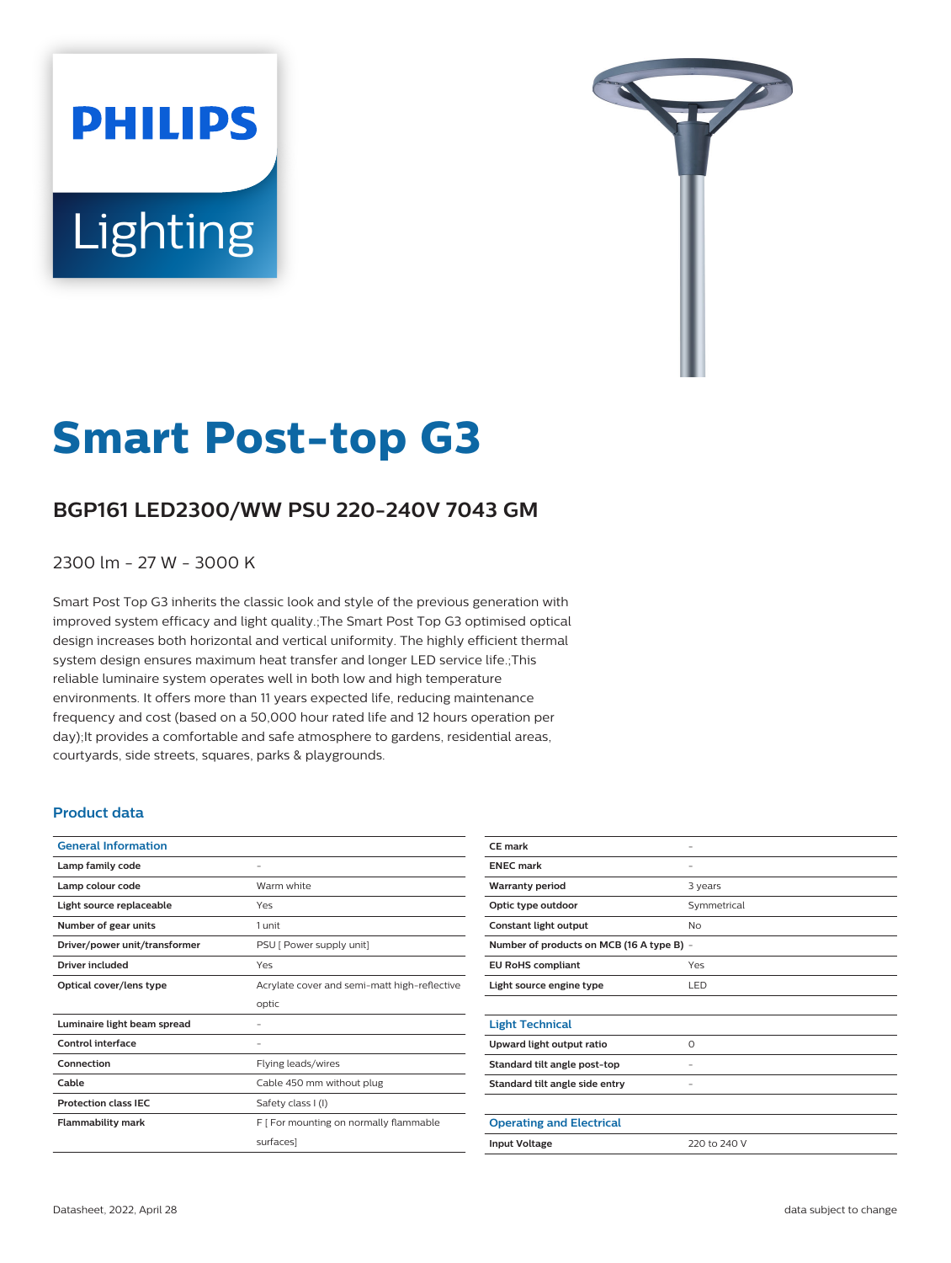# **PHILIPS** Lighting



# **Smart Post-top G3**

# **BGP161 LED2300/WW PSU 220-240V 7043 GM**

2300 lm - 27 W - 3000 K

Smart Post Top G3 inherits the classic look and style of the previous generation with improved system efficacy and light quality.;The Smart Post Top G3 optimised optical design increases both horizontal and vertical uniformity. The highly efficient thermal system design ensures maximum heat transfer and longer LED service life.;This reliable luminaire system operates well in both low and high temperature environments. It offers more than 11 years expected life, reducing maintenance frequency and cost (based on a 50,000 hour rated life and 12 hours operation per day);It provides a comfortable and safe atmosphere to gardens, residential areas, courtyards, side streets, squares, parks & playgrounds.

#### **Product data**

| <b>General Information</b>    |                                              |
|-------------------------------|----------------------------------------------|
| Lamp family code              |                                              |
| Lamp colour code              | Warm white                                   |
| Light source replaceable      | Yes                                          |
| Number of gear units          | 1 unit                                       |
| Driver/power unit/transformer | PSU [ Power supply unit]                     |
| <b>Driver included</b>        | Yes                                          |
| Optical cover/lens type       | Acrylate cover and semi-matt high-reflective |
|                               | optic                                        |
| Luminaire light beam spread   |                                              |
| Control interface             |                                              |
| Connection                    | Flying leads/wires                           |
| Cable                         | Cable 450 mm without plug                    |
| <b>Protection class IEC</b>   | Safety class I (I)                           |
| <b>Flammability mark</b>      | F [ For mounting on normally flammable       |
|                               | surfaces]                                    |
|                               |                                              |

| CE mark                                   | -            |  |
|-------------------------------------------|--------------|--|
| <b>ENEC</b> mark                          |              |  |
| <b>Warranty period</b>                    | 3 years      |  |
| Optic type outdoor                        | Symmetrical  |  |
| Constant light output                     | No           |  |
| Number of products on MCB (16 A type B) - |              |  |
| <b>EU RoHS compliant</b>                  | Yes          |  |
| Light source engine type                  | LED          |  |
|                                           |              |  |
| <b>Light Technical</b>                    |              |  |
| Upward light output ratio                 | $\Omega$     |  |
| Standard tilt angle post-top              |              |  |
| Standard tilt angle side entry            |              |  |
|                                           |              |  |
| <b>Operating and Electrical</b>           |              |  |
| <b>Input Voltage</b>                      | 220 to 240 V |  |
|                                           |              |  |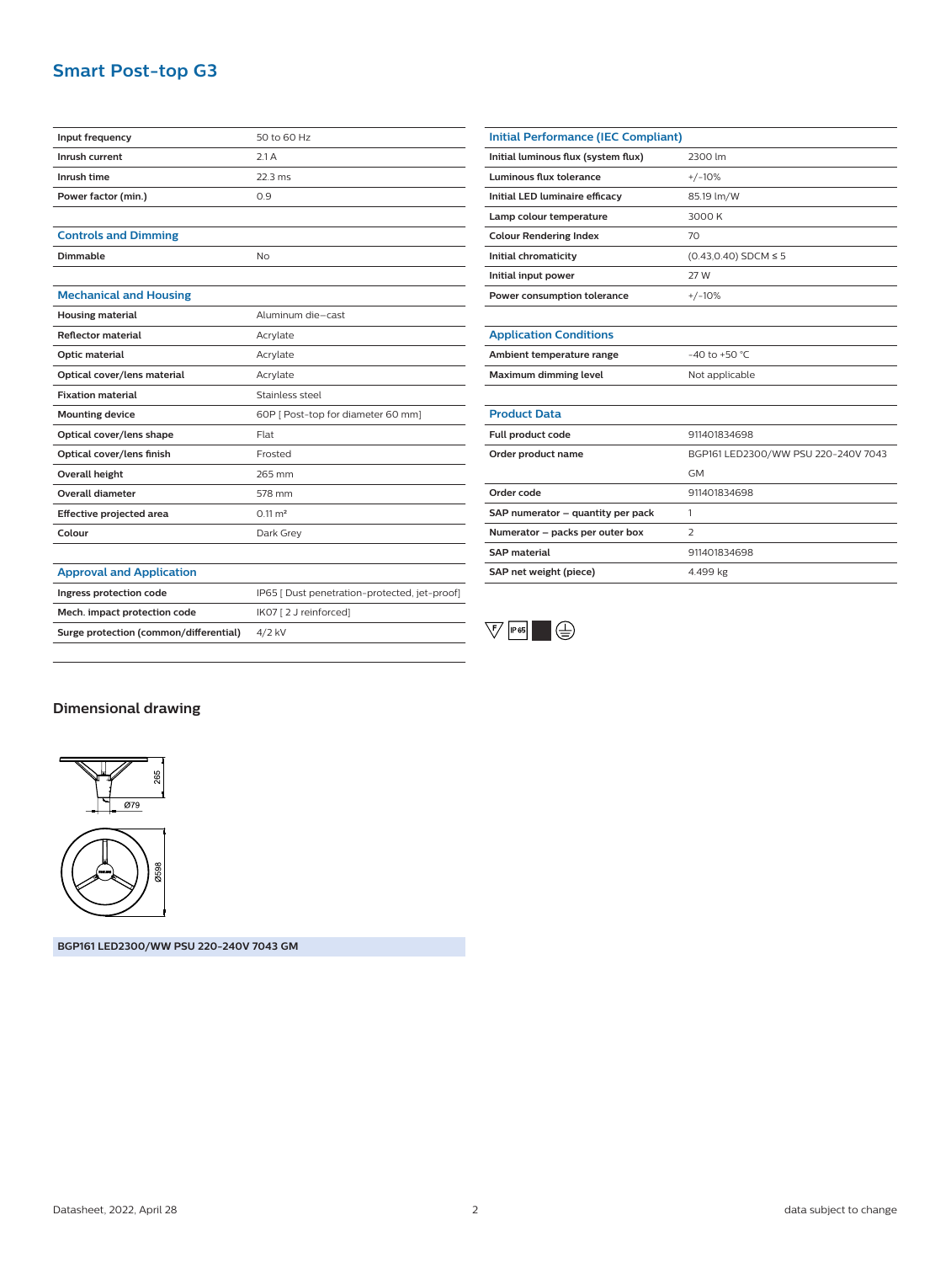## **Smart Post-top G3**

| Input frequency                        | 50 to 60 Hz                                   |
|----------------------------------------|-----------------------------------------------|
| Inrush current                         | 2.1A                                          |
| Inrush time                            | $22.3$ ms                                     |
| Power factor (min.)                    | 0.9                                           |
|                                        |                                               |
| <b>Controls and Dimming</b>            |                                               |
| <b>Dimmable</b>                        | No                                            |
|                                        |                                               |
| <b>Mechanical and Housing</b>          |                                               |
| <b>Housing material</b>                | Aluminum die-cast                             |
| <b>Reflector material</b>              | Acrylate                                      |
| Optic material                         | Acrylate                                      |
| Optical cover/lens material            | Acrylate                                      |
| <b>Fixation material</b>               | Stainless steel                               |
| <b>Mounting device</b>                 | 60P [ Post-top for diameter 60 mm]            |
| Optical cover/lens shape               | Flat                                          |
| Optical cover/lens finish              | Frosted                                       |
| Overall height                         | 265 mm                                        |
| <b>Overall diameter</b>                | 578 mm                                        |
| <b>Effective projected area</b>        | $0.11 \text{ m}^2$                            |
| Colour                                 | Dark Grey                                     |
|                                        |                                               |
| <b>Approval and Application</b>        |                                               |
| Ingress protection code                | IP65   Dust penetration-protected, jet-proof] |
| Mech. impact protection code           | IK07 [2 J reinforced]                         |
| Surge protection (common/differential) | 4/2 kV                                        |

| Initial Performance (IEC Compliant) |                                     |
|-------------------------------------|-------------------------------------|
| Initial luminous flux (system flux) | 2300 lm                             |
| Luminous flux tolerance             | $+/-10%$                            |
| Initial LED luminaire efficacy      | 85.19 lm/W                          |
| Lamp colour temperature             | 3000 K                              |
| <b>Colour Rendering Index</b>       | 70                                  |
| Initial chromaticity                | $(0.43, 0.40)$ SDCM $\leq 5$        |
| Initial input power                 | 27 W                                |
| Power consumption tolerance         | $+/-10%$                            |
|                                     |                                     |
| <b>Application Conditions</b>       |                                     |
| Ambient temperature range           | $-40$ to $+50$ °C.                  |
| Maximum dimming level               | Not applicable                      |
|                                     |                                     |
| <b>Product Data</b>                 |                                     |
| Full product code                   | 911401834698                        |
| Order product name                  | BGP161 LED2300/WW PSU 220-240V 7043 |
|                                     | <b>GM</b>                           |
| Order code                          | 911401834698                        |
| SAP numerator - quantity per pack   | 1                                   |
| Numerator - packs per outer box     | $\overline{2}$                      |
| <b>SAP material</b>                 | 911401834698                        |
| SAP net weight (piece)              | 4.499 kg                            |



### **Dimensional drawing**



**BGP161 LED2300/WW PSU 220-240V 7043 GM**